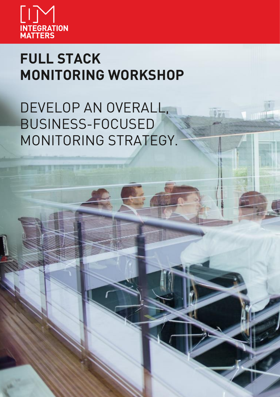

# **FULL STACK MONITORING WORKSHOP**

DEVELOP AN OVERALL, BUSINESS-FOCUSED MONITORING STRATEGY.